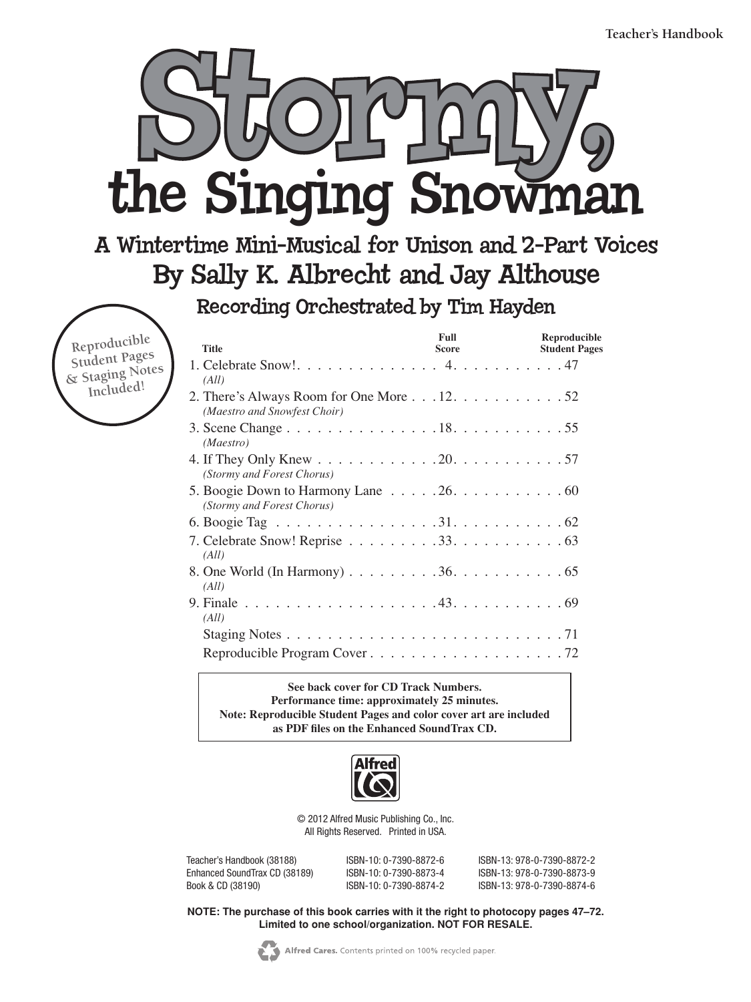

### A Wintertime Mini-Musical for Unison and 2-Part Voices By Sally K. Albrecht and Jay Althouse

Recording Orchestrated by Tim Hayden

**Reproducible Student Pages & Staging Notes Included!**

| <b>Title</b>                                                                                 | <b>Full</b><br><b>Score</b> | Reproducible<br><b>Student Pages</b> |
|----------------------------------------------------------------------------------------------|-----------------------------|--------------------------------------|
| (All)                                                                                        |                             |                                      |
| 2. There's Always Room for One More $\ldots$ 12. $\ldots$ 52<br>(Maestro and Snowfest Choir) |                             |                                      |
| (Maestro)                                                                                    |                             |                                      |
| (Stormy and Forest Chorus)                                                                   |                             |                                      |
| (Stormy and Forest Chorus)                                                                   |                             |                                      |
|                                                                                              |                             |                                      |
| (All)                                                                                        |                             |                                      |
| (All)                                                                                        |                             |                                      |
| (All)                                                                                        |                             |                                      |
|                                                                                              |                             |                                      |
|                                                                                              |                             |                                      |

**See back cover for CD Track Numbers. Performance time: approximately 25 minutes. Note: Reproducible Student Pages and color cover art are included as PDF files on the Enhanced SoundTrax CD.**



© 2012 Alfred Music Publishing Co., Inc. All Rights Reserved. Printed in USA.

Teacher's Handbook (38188) ISBN-10: 0-7390-8872-6 ISBN-13: 978-0-7390-8872-2 Enhanced SoundTrax CD (38189) ISBN-10: 0-7390-8873-4 ISBN-13: 978-0-7390-8873-9<br>Book & CD (38190) ISBN-10: 0-7390-8874-2 ISBN-13: 978-0-7390-8874-6 Book & CD (38190) ISBN-10: 0-7390-8874-2 ISBN-13: 978-0-7390-8874-6

**NOTE: The purchase of this book carries with it the right to photocopy pages 47–72. Limited to one school/organization. NOT FOR RESALE.**

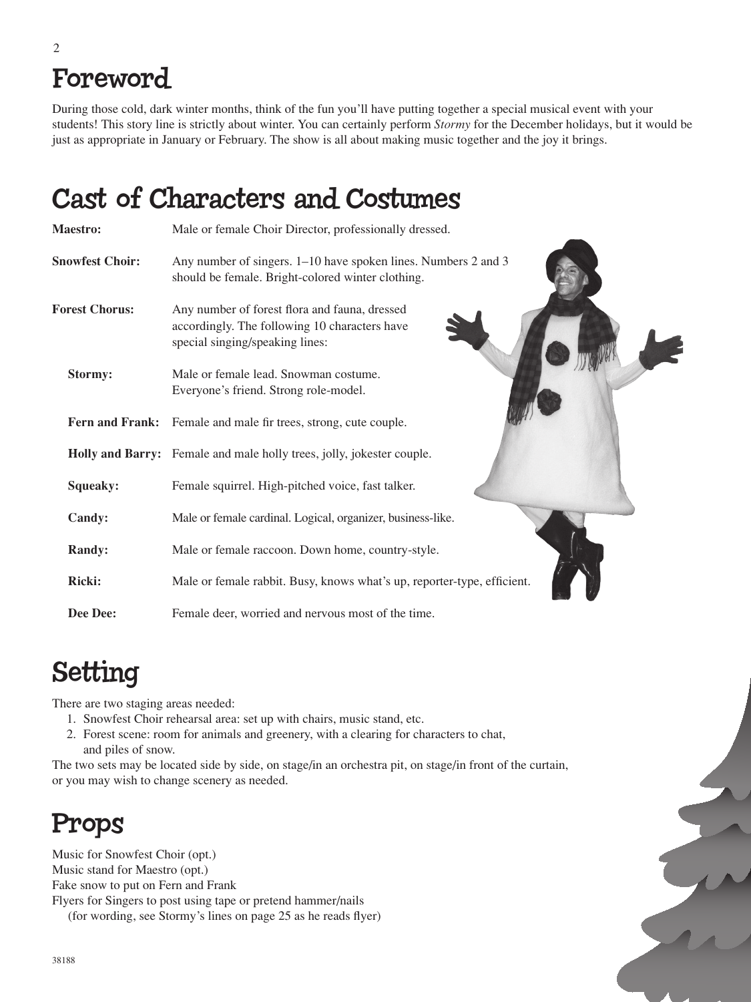# Foreword

During those cold, dark winter months, think of the fun you'll have putting together a special musical event with your students! This story line is strictly about winter. You can certainly perform *Stormy* for the December holidays, but it would be just as appropriate in January or February. The show is all about making music together and the joy it brings.

# Cast of Characters and Costumes

| <b>Maestro:</b>        | Male or female Choir Director, professionally dressed.                                                                            |
|------------------------|-----------------------------------------------------------------------------------------------------------------------------------|
| <b>Snowfest Choir:</b> | Any number of singers. 1–10 have spoken lines. Numbers 2 and 3<br>should be female. Bright-colored winter clothing.               |
| <b>Forest Chorus:</b>  | Any number of forest flora and fauna, dressed<br>accordingly. The following 10 characters have<br>special singing/speaking lines: |
| Stormy:                | Male or female lead. Snowman costume.<br>Everyone's friend. Strong role-model.                                                    |
|                        | Fern and Frank: Female and male fir trees, strong, cute couple.                                                                   |
|                        | Holly and Barry: Female and male holly trees, jolly, jokester couple.                                                             |
| Squeaky:               | Female squirrel. High-pitched voice, fast talker.                                                                                 |
| Candy:                 | Male or female cardinal. Logical, organizer, business-like.                                                                       |
| <b>Randy:</b>          | Male or female raccoon. Down home, country-style.                                                                                 |
| Ricki:                 | Male or female rabbit. Busy, knows what's up, reporter-type, efficient.                                                           |
| Dee Dee:               | Female deer, worried and nervous most of the time.                                                                                |

# Setting

There are two staging areas needed:

- 1. Snowfest Choir rehearsal area: set up with chairs, music stand, etc.
- 2. Forest scene: room for animals and greenery, with a clearing for characters to chat, and piles of snow.

The two sets may be located side by side, on stage/in an orchestra pit, on stage/in front of the curtain, or you may wish to change scenery as needed.

#### Props

Music for Snowfest Choir (opt.) Music stand for Maestro (opt.) Fake snow to put on Fern and Frank Flyers for Singers to post using tape or pretend hammer/nails (for wording, see Stormy's lines on page 25 as he reads flyer)

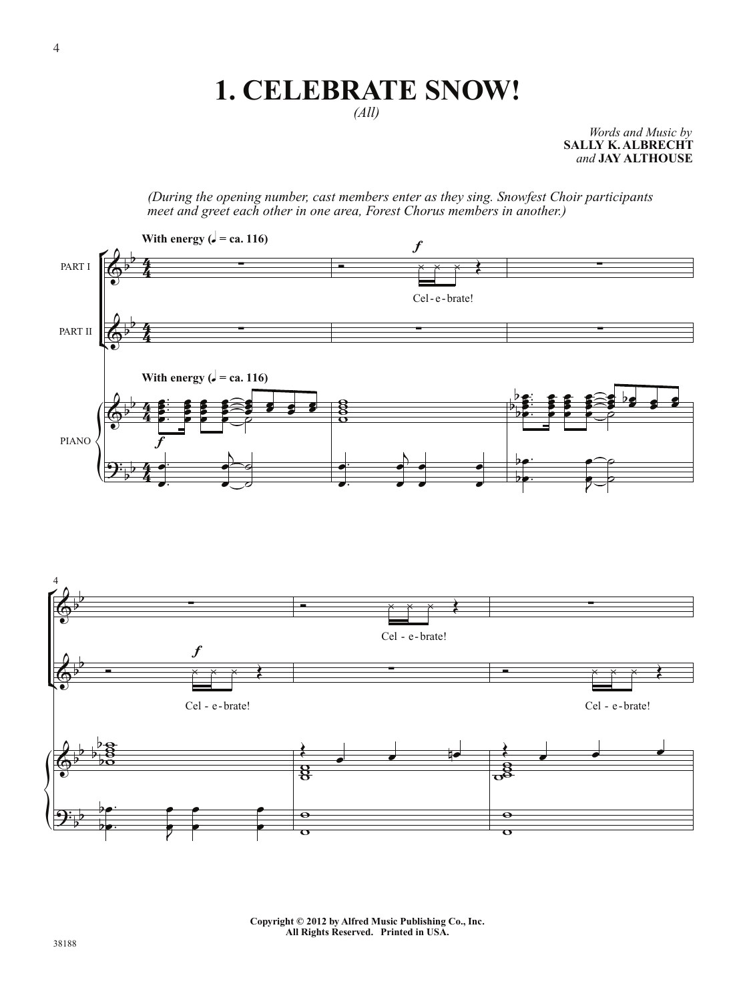### **1. CELEBRATE SNOW!**

*(All)*

*Words and Music by* **SALLY K. ALBRECHT** *and* **JAY ALTHOUSE**

*(During the opening number, cast members enter as they sing. Snowfest Choir participants meet and greet each other in one area, Forest Chorus members in another.)*



**Copyright © 2012 by Alfred Music Publishing Co., Inc. All Rights Reserved. Printed in USA.**

 $\overline{\mathbf{o}}$